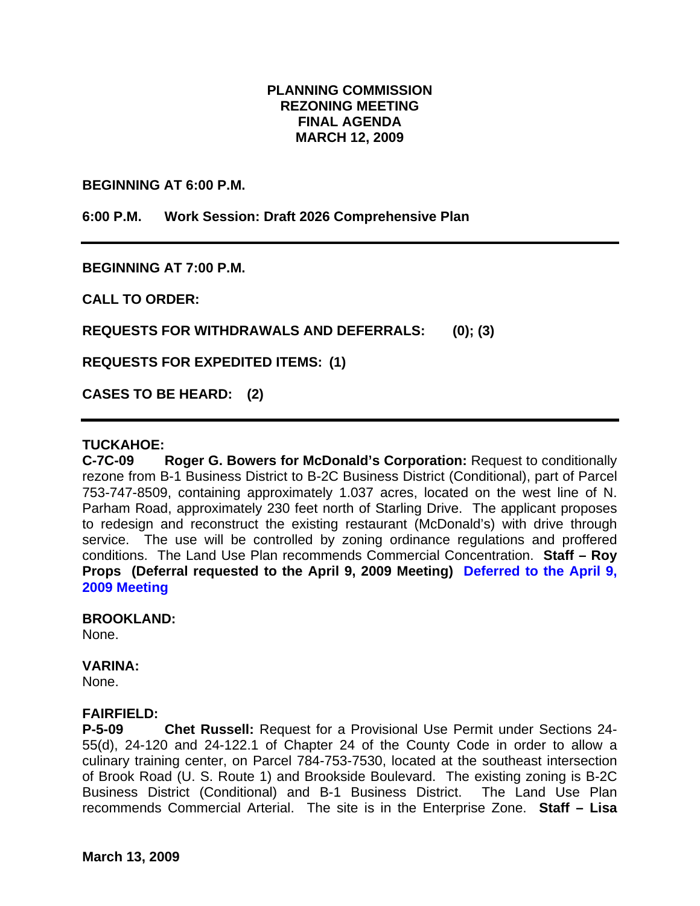# **PLANNING COMMISSION REZONING MEETING FINAL AGENDA MARCH 12, 2009**

**BEGINNING AT 6:00 P.M.** 

**6:00 P.M. Work Session: Draft 2026 Comprehensive Plan** 

**BEGINNING AT 7:00 P.M.** 

**CALL TO ORDER:** 

**REQUESTS FOR WITHDRAWALS AND DEFERRALS: (0); (3)** 

**REQUESTS FOR EXPEDITED ITEMS: (1)** 

**CASES TO BE HEARD: (2)** 

### **TUCKAHOE:**

**C-7C-09 Roger G. Bowers for McDonald's Corporation:** Request to conditionally rezone from B-1 Business District to B-2C Business District (Conditional), part of Parcel 753-747-8509, containing approximately 1.037 acres, located on the west line of N. Parham Road, approximately 230 feet north of Starling Drive. The applicant proposes to redesign and reconstruct the existing restaurant (McDonald's) with drive through service. The use will be controlled by zoning ordinance regulations and proffered conditions. The Land Use Plan recommends Commercial Concentration. **Staff – Roy Props (Deferral requested to the April 9, 2009 Meeting) Deferred to the April 9, 2009 Meeting** 

#### **BROOKLAND:**

None.

### **VARINA:**

None.

### **FAIRFIELD:**

**P-5-09 Chet Russell:** Request for a Provisional Use Permit under Sections 24- 55(d), 24-120 and 24-122.1 of Chapter 24 of the County Code in order to allow a culinary training center, on Parcel 784-753-7530, located at the southeast intersection of Brook Road (U. S. Route 1) and Brookside Boulevard. The existing zoning is B-2C Business District (Conditional) and B-1 Business District. The Land Use Plan recommends Commercial Arterial. The site is in the Enterprise Zone. **Staff – Lisa**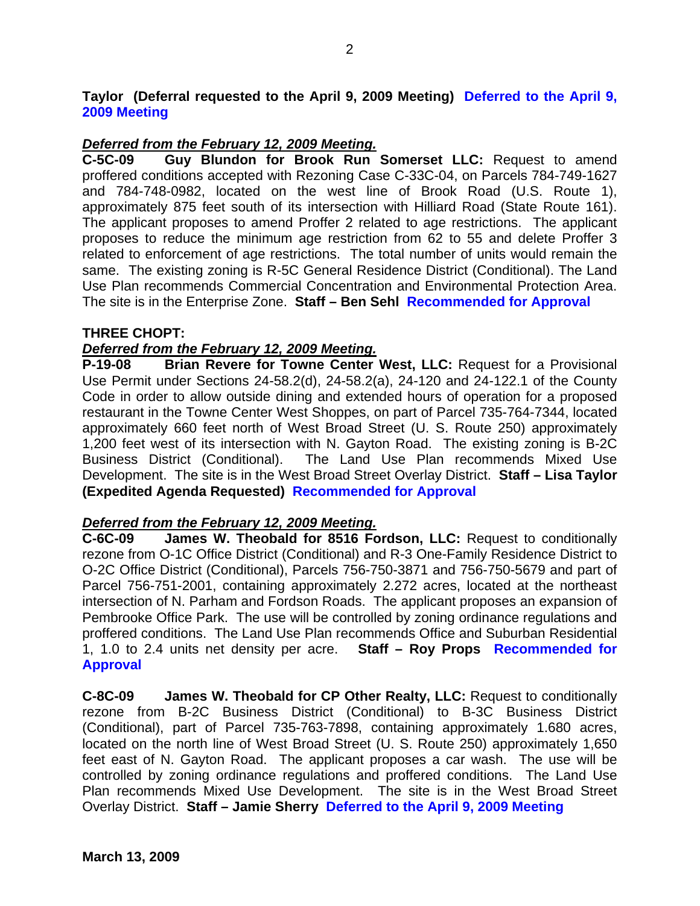## **Taylor (Deferral requested to the April 9, 2009 Meeting) Deferred to the April 9, 2009 Meeting**

# *Deferred from the February 12, 2009 Meeting.*

**C-5C-09 Guy Blundon for Brook Run Somerset LLC:** Request to amend proffered conditions accepted with Rezoning Case C-33C-04, on Parcels 784-749-1627 and 784-748-0982, located on the west line of Brook Road (U.S. Route 1), approximately 875 feet south of its intersection with Hilliard Road (State Route 161). The applicant proposes to amend Proffer 2 related to age restrictions. The applicant proposes to reduce the minimum age restriction from 62 to 55 and delete Proffer 3 related to enforcement of age restrictions. The total number of units would remain the same. The existing zoning is R-5C General Residence District (Conditional). The Land Use Plan recommends Commercial Concentration and Environmental Protection Area. The site is in the Enterprise Zone. **Staff – Ben Sehl Recommended for Approval** 

## **THREE CHOPT:**

# *Deferred from the February 12, 2009 Meeting.*

**P-19-08 Brian Revere for Towne Center West, LLC:** Request for a Provisional Use Permit under Sections 24-58.2(d), 24-58.2(a), 24-120 and 24-122.1 of the County Code in order to allow outside dining and extended hours of operation for a proposed restaurant in the Towne Center West Shoppes, on part of Parcel 735-764-7344, located approximately 660 feet north of West Broad Street (U. S. Route 250) approximately 1,200 feet west of its intersection with N. Gayton Road. The existing zoning is B-2C Business District (Conditional). The Land Use Plan recommends Mixed Use Development. The site is in the West Broad Street Overlay District. **Staff – Lisa Taylor (Expedited Agenda Requested) Recommended for Approval** 

# *Deferred from the February 12, 2009 Meeting.*

**C-6C-09 James W. Theobald for 8516 Fordson, LLC:** Request to conditionally rezone from O-1C Office District (Conditional) and R-3 One-Family Residence District to O-2C Office District (Conditional), Parcels 756-750-3871 and 756-750-5679 and part of Parcel 756-751-2001, containing approximately 2.272 acres, located at the northeast intersection of N. Parham and Fordson Roads. The applicant proposes an expansion of Pembrooke Office Park. The use will be controlled by zoning ordinance regulations and proffered conditions. The Land Use Plan recommends Office and Suburban Residential 1, 1.0 to 2.4 units net density per acre. **Staff – Roy Props Recommended for Approval** 

**C-8C-09 James W. Theobald for CP Other Realty, LLC:** Request to conditionally rezone from B-2C Business District (Conditional) to B-3C Business District (Conditional), part of Parcel 735-763-7898, containing approximately 1.680 acres, located on the north line of West Broad Street (U. S. Route 250) approximately 1,650 feet east of N. Gayton Road. The applicant proposes a car wash. The use will be controlled by zoning ordinance regulations and proffered conditions. The Land Use Plan recommends Mixed Use Development. The site is in the West Broad Street Overlay District. **Staff – Jamie Sherry Deferred to the April 9, 2009 Meeting**